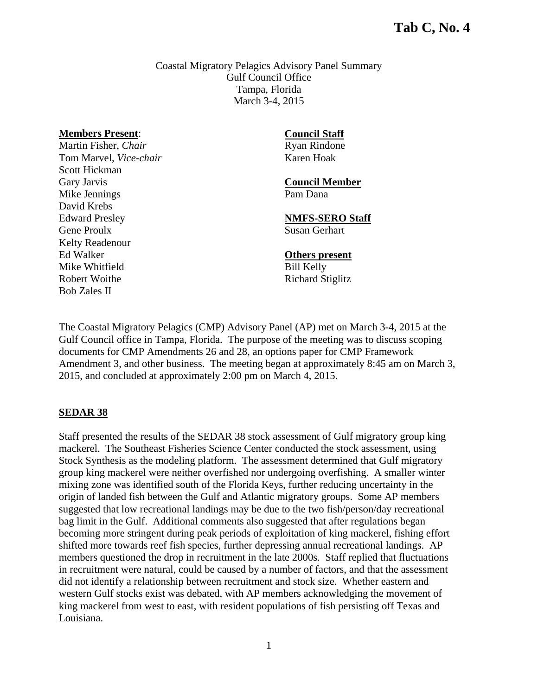Coastal Migratory Pelagics Advisory Panel Summary Gulf Council Office Tampa, Florida March 3-4, 2015

#### **Members Present**:

Martin Fisher, *Chair* Tom Marvel, *Vice-chair* Scott Hickman Gary Jarvis Mike Jennings David Krebs Edward Presley Gene Proulx Kelty Readenour Ed Walker Mike Whitfield Robert Woithe Bob Zales II

#### **Council Staff**

Ryan Rindone Karen Hoak

#### **Council Member**  Pam Dana

**NMFS-SERO Staff**  Susan Gerhart

#### **Others present**

Bill Kelly Richard Stiglitz

The Coastal Migratory Pelagics (CMP) Advisory Panel (AP) met on March 3-4, 2015 at the Gulf Council office in Tampa, Florida. The purpose of the meeting was to discuss scoping documents for CMP Amendments 26 and 28, an options paper for CMP Framework Amendment 3, and other business. The meeting began at approximately 8:45 am on March 3, 2015, and concluded at approximately 2:00 pm on March 4, 2015.

#### **SEDAR 38**

Staff presented the results of the SEDAR 38 stock assessment of Gulf migratory group king mackerel. The Southeast Fisheries Science Center conducted the stock assessment, using Stock Synthesis as the modeling platform. The assessment determined that Gulf migratory group king mackerel were neither overfished nor undergoing overfishing. A smaller winter mixing zone was identified south of the Florida Keys, further reducing uncertainty in the origin of landed fish between the Gulf and Atlantic migratory groups. Some AP members suggested that low recreational landings may be due to the two fish/person/day recreational bag limit in the Gulf. Additional comments also suggested that after regulations began becoming more stringent during peak periods of exploitation of king mackerel, fishing effort shifted more towards reef fish species, further depressing annual recreational landings. AP members questioned the drop in recruitment in the late 2000s. Staff replied that fluctuations in recruitment were natural, could be caused by a number of factors, and that the assessment did not identify a relationship between recruitment and stock size. Whether eastern and western Gulf stocks exist was debated, with AP members acknowledging the movement of king mackerel from west to east, with resident populations of fish persisting off Texas and Louisiana.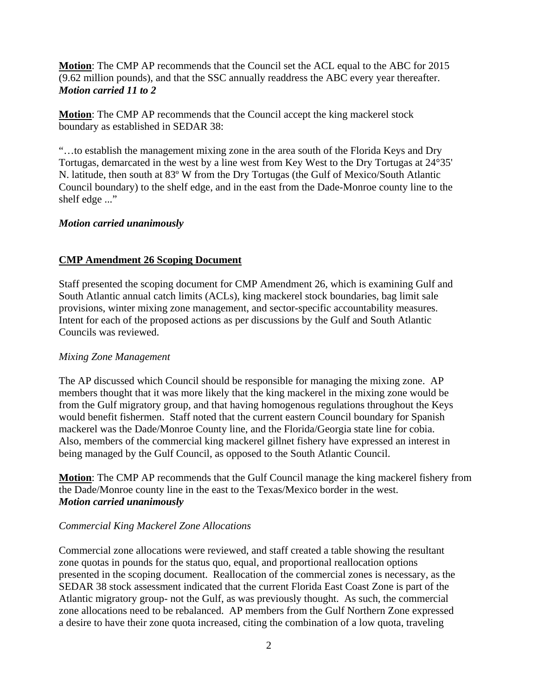**Motion**: The CMP AP recommends that the Council set the ACL equal to the ABC for 2015 (9.62 million pounds), and that the SSC annually readdress the ABC every year thereafter. *Motion carried 11 to 2* 

**Motion**: The CMP AP recommends that the Council accept the king mackerel stock boundary as established in SEDAR 38:

"…to establish the management mixing zone in the area south of the Florida Keys and Dry Tortugas, demarcated in the west by a line west from Key West to the Dry Tortugas at 24°35' N. latitude, then south at 83º W from the Dry Tortugas (the Gulf of Mexico/South Atlantic Council boundary) to the shelf edge, and in the east from the Dade-Monroe county line to the shelf edge ..."

### *Motion carried unanimously*

## **CMP Amendment 26 Scoping Document**

Staff presented the scoping document for CMP Amendment 26, which is examining Gulf and South Atlantic annual catch limits (ACLs), king mackerel stock boundaries, bag limit sale provisions, winter mixing zone management, and sector-specific accountability measures. Intent for each of the proposed actions as per discussions by the Gulf and South Atlantic Councils was reviewed.

### *Mixing Zone Management*

The AP discussed which Council should be responsible for managing the mixing zone. AP members thought that it was more likely that the king mackerel in the mixing zone would be from the Gulf migratory group, and that having homogenous regulations throughout the Keys would benefit fishermen. Staff noted that the current eastern Council boundary for Spanish mackerel was the Dade/Monroe County line, and the Florida/Georgia state line for cobia. Also, members of the commercial king mackerel gillnet fishery have expressed an interest in being managed by the Gulf Council, as opposed to the South Atlantic Council.

**Motion**: The CMP AP recommends that the Gulf Council manage the king mackerel fishery from the Dade/Monroe county line in the east to the Texas/Mexico border in the west. *Motion carried unanimously*

## *Commercial King Mackerel Zone Allocations*

Commercial zone allocations were reviewed, and staff created a table showing the resultant zone quotas in pounds for the status quo, equal, and proportional reallocation options presented in the scoping document. Reallocation of the commercial zones is necessary, as the SEDAR 38 stock assessment indicated that the current Florida East Coast Zone is part of the Atlantic migratory group- not the Gulf, as was previously thought. As such, the commercial zone allocations need to be rebalanced. AP members from the Gulf Northern Zone expressed a desire to have their zone quota increased, citing the combination of a low quota, traveling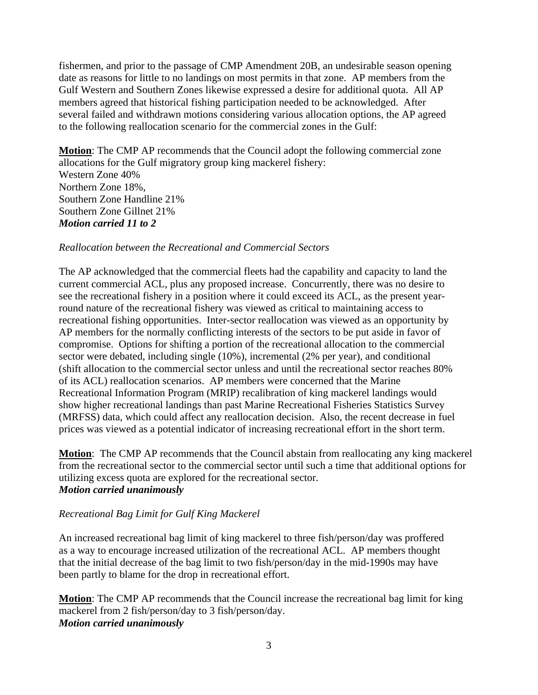fishermen, and prior to the passage of CMP Amendment 20B, an undesirable season opening date as reasons for little to no landings on most permits in that zone. AP members from the Gulf Western and Southern Zones likewise expressed a desire for additional quota. All AP members agreed that historical fishing participation needed to be acknowledged. After several failed and withdrawn motions considering various allocation options, the AP agreed to the following reallocation scenario for the commercial zones in the Gulf:

**Motion**: The CMP AP recommends that the Council adopt the following commercial zone allocations for the Gulf migratory group king mackerel fishery: Western Zone 40% Northern Zone 18%, Southern Zone Handline 21% Southern Zone Gillnet 21% *Motion carried 11 to 2* 

#### *Reallocation between the Recreational and Commercial Sectors*

The AP acknowledged that the commercial fleets had the capability and capacity to land the current commercial ACL, plus any proposed increase. Concurrently, there was no desire to see the recreational fishery in a position where it could exceed its ACL, as the present yearround nature of the recreational fishery was viewed as critical to maintaining access to recreational fishing opportunities. Inter-sector reallocation was viewed as an opportunity by AP members for the normally conflicting interests of the sectors to be put aside in favor of compromise. Options for shifting a portion of the recreational allocation to the commercial sector were debated, including single (10%), incremental (2% per year), and conditional (shift allocation to the commercial sector unless and until the recreational sector reaches 80% of its ACL) reallocation scenarios. AP members were concerned that the Marine Recreational Information Program (MRIP) recalibration of king mackerel landings would show higher recreational landings than past Marine Recreational Fisheries Statistics Survey (MRFSS) data, which could affect any reallocation decision. Also, the recent decrease in fuel prices was viewed as a potential indicator of increasing recreational effort in the short term.

**Motion**: The CMP AP recommends that the Council abstain from reallocating any king mackerel from the recreational sector to the commercial sector until such a time that additional options for utilizing excess quota are explored for the recreational sector. *Motion carried unanimously*

#### *Recreational Bag Limit for Gulf King Mackerel*

An increased recreational bag limit of king mackerel to three fish/person/day was proffered as a way to encourage increased utilization of the recreational ACL. AP members thought that the initial decrease of the bag limit to two fish/person/day in the mid-1990s may have been partly to blame for the drop in recreational effort.

**Motion**: The CMP AP recommends that the Council increase the recreational bag limit for king mackerel from 2 fish/person/day to 3 fish/person/day. *Motion carried unanimously*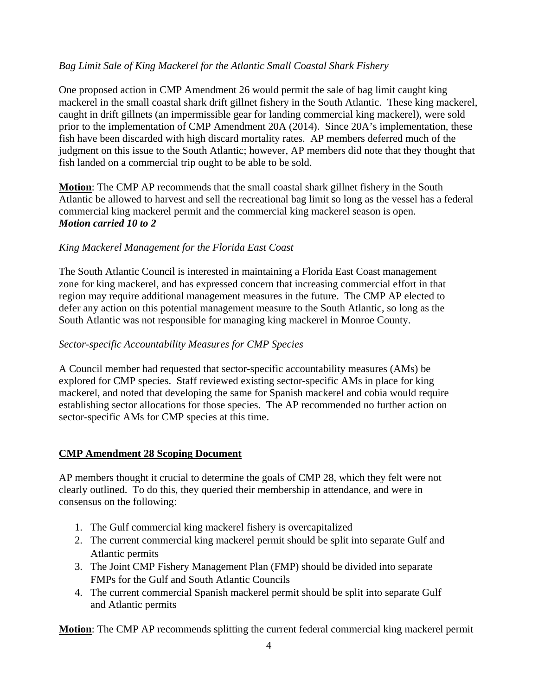# *Bag Limit Sale of King Mackerel for the Atlantic Small Coastal Shark Fishery*

One proposed action in CMP Amendment 26 would permit the sale of bag limit caught king mackerel in the small coastal shark drift gillnet fishery in the South Atlantic. These king mackerel, caught in drift gillnets (an impermissible gear for landing commercial king mackerel), were sold prior to the implementation of CMP Amendment 20A (2014). Since 20A's implementation, these fish have been discarded with high discard mortality rates. AP members deferred much of the judgment on this issue to the South Atlantic; however, AP members did note that they thought that fish landed on a commercial trip ought to be able to be sold.

**Motion**: The CMP AP recommends that the small coastal shark gillnet fishery in the South Atlantic be allowed to harvest and sell the recreational bag limit so long as the vessel has a federal commercial king mackerel permit and the commercial king mackerel season is open. *Motion carried 10 to 2* 

## *King Mackerel Management for the Florida East Coast*

The South Atlantic Council is interested in maintaining a Florida East Coast management zone for king mackerel, and has expressed concern that increasing commercial effort in that region may require additional management measures in the future. The CMP AP elected to defer any action on this potential management measure to the South Atlantic, so long as the South Atlantic was not responsible for managing king mackerel in Monroe County.

### *Sector-specific Accountability Measures for CMP Species*

A Council member had requested that sector-specific accountability measures (AMs) be explored for CMP species. Staff reviewed existing sector-specific AMs in place for king mackerel, and noted that developing the same for Spanish mackerel and cobia would require establishing sector allocations for those species. The AP recommended no further action on sector-specific AMs for CMP species at this time.

## **CMP Amendment 28 Scoping Document**

AP members thought it crucial to determine the goals of CMP 28, which they felt were not clearly outlined. To do this, they queried their membership in attendance, and were in consensus on the following:

- 1. The Gulf commercial king mackerel fishery is overcapitalized
- 2. The current commercial king mackerel permit should be split into separate Gulf and Atlantic permits
- 3. The Joint CMP Fishery Management Plan (FMP) should be divided into separate FMPs for the Gulf and South Atlantic Councils
- 4. The current commercial Spanish mackerel permit should be split into separate Gulf and Atlantic permits

**Motion**: The CMP AP recommends splitting the current federal commercial king mackerel permit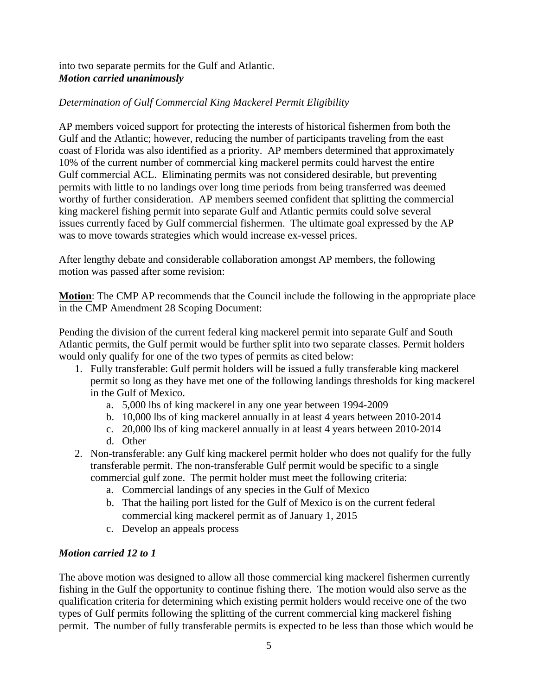## into two separate permits for the Gulf and Atlantic. *Motion carried unanimously*

# *Determination of Gulf Commercial King Mackerel Permit Eligibility*

AP members voiced support for protecting the interests of historical fishermen from both the Gulf and the Atlantic; however, reducing the number of participants traveling from the east coast of Florida was also identified as a priority. AP members determined that approximately 10% of the current number of commercial king mackerel permits could harvest the entire Gulf commercial ACL. Eliminating permits was not considered desirable, but preventing permits with little to no landings over long time periods from being transferred was deemed worthy of further consideration. AP members seemed confident that splitting the commercial king mackerel fishing permit into separate Gulf and Atlantic permits could solve several issues currently faced by Gulf commercial fishermen. The ultimate goal expressed by the AP was to move towards strategies which would increase ex-vessel prices.

After lengthy debate and considerable collaboration amongst AP members, the following motion was passed after some revision:

**Motion**: The CMP AP recommends that the Council include the following in the appropriate place in the CMP Amendment 28 Scoping Document:

Pending the division of the current federal king mackerel permit into separate Gulf and South Atlantic permits, the Gulf permit would be further split into two separate classes. Permit holders would only qualify for one of the two types of permits as cited below:

- 1. Fully transferable: Gulf permit holders will be issued a fully transferable king mackerel permit so long as they have met one of the following landings thresholds for king mackerel in the Gulf of Mexico.
	- a. 5,000 lbs of king mackerel in any one year between 1994-2009
	- b. 10,000 lbs of king mackerel annually in at least 4 years between 2010-2014
	- c. 20,000 lbs of king mackerel annually in at least 4 years between 2010-2014
	- d. Other
- 2. Non-transferable: any Gulf king mackerel permit holder who does not qualify for the fully transferable permit. The non-transferable Gulf permit would be specific to a single commercial gulf zone. The permit holder must meet the following criteria:
	- a. Commercial landings of any species in the Gulf of Mexico
	- b. That the hailing port listed for the Gulf of Mexico is on the current federal commercial king mackerel permit as of January 1, 2015
	- c. Develop an appeals process

## *Motion carried 12 to 1*

The above motion was designed to allow all those commercial king mackerel fishermen currently fishing in the Gulf the opportunity to continue fishing there. The motion would also serve as the qualification criteria for determining which existing permit holders would receive one of the two types of Gulf permits following the splitting of the current commercial king mackerel fishing permit. The number of fully transferable permits is expected to be less than those which would be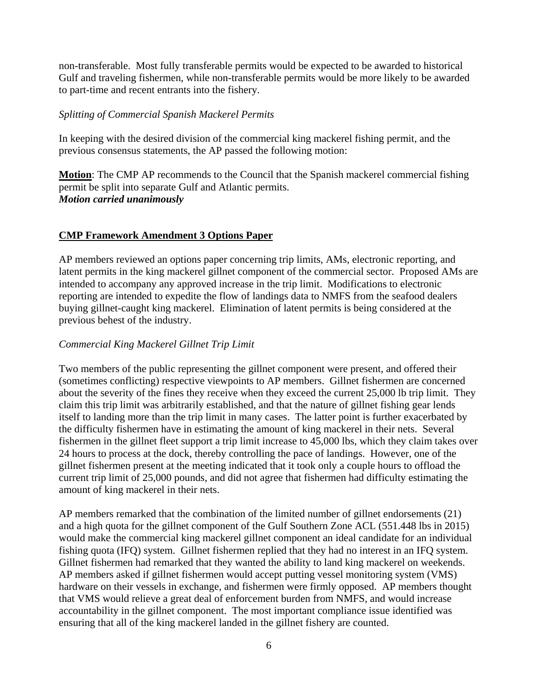non-transferable. Most fully transferable permits would be expected to be awarded to historical Gulf and traveling fishermen, while non-transferable permits would be more likely to be awarded to part-time and recent entrants into the fishery.

### *Splitting of Commercial Spanish Mackerel Permits*

In keeping with the desired division of the commercial king mackerel fishing permit, and the previous consensus statements, the AP passed the following motion:

**Motion**: The CMP AP recommends to the Council that the Spanish mackerel commercial fishing permit be split into separate Gulf and Atlantic permits. *Motion carried unanimously* 

## **CMP Framework Amendment 3 Options Paper**

AP members reviewed an options paper concerning trip limits, AMs, electronic reporting, and latent permits in the king mackerel gillnet component of the commercial sector. Proposed AMs are intended to accompany any approved increase in the trip limit. Modifications to electronic reporting are intended to expedite the flow of landings data to NMFS from the seafood dealers buying gillnet-caught king mackerel. Elimination of latent permits is being considered at the previous behest of the industry.

## *Commercial King Mackerel Gillnet Trip Limit*

Two members of the public representing the gillnet component were present, and offered their (sometimes conflicting) respective viewpoints to AP members. Gillnet fishermen are concerned about the severity of the fines they receive when they exceed the current 25,000 lb trip limit. They claim this trip limit was arbitrarily established, and that the nature of gillnet fishing gear lends itself to landing more than the trip limit in many cases. The latter point is further exacerbated by the difficulty fishermen have in estimating the amount of king mackerel in their nets. Several fishermen in the gillnet fleet support a trip limit increase to 45,000 lbs, which they claim takes over 24 hours to process at the dock, thereby controlling the pace of landings. However, one of the gillnet fishermen present at the meeting indicated that it took only a couple hours to offload the current trip limit of 25,000 pounds, and did not agree that fishermen had difficulty estimating the amount of king mackerel in their nets.

AP members remarked that the combination of the limited number of gillnet endorsements (21) and a high quota for the gillnet component of the Gulf Southern Zone ACL (551.448 lbs in 2015) would make the commercial king mackerel gillnet component an ideal candidate for an individual fishing quota (IFQ) system. Gillnet fishermen replied that they had no interest in an IFQ system. Gillnet fishermen had remarked that they wanted the ability to land king mackerel on weekends. AP members asked if gillnet fishermen would accept putting vessel monitoring system (VMS) hardware on their vessels in exchange, and fishermen were firmly opposed. AP members thought that VMS would relieve a great deal of enforcement burden from NMFS, and would increase accountability in the gillnet component. The most important compliance issue identified was ensuring that all of the king mackerel landed in the gillnet fishery are counted.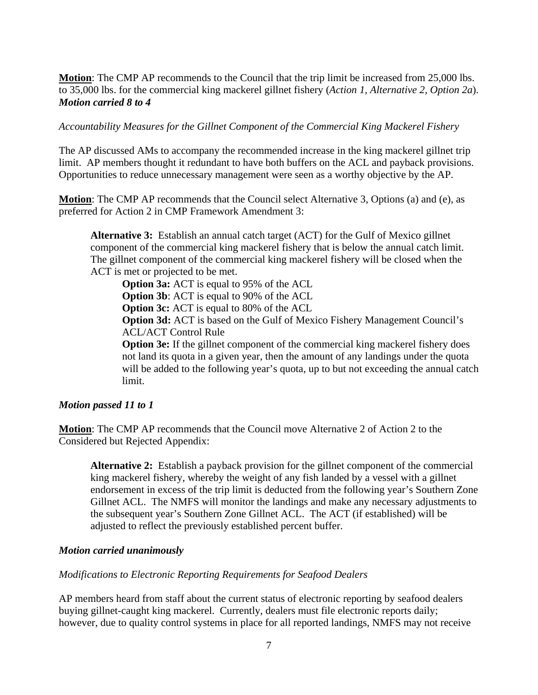**Motion**: The CMP AP recommends to the Council that the trip limit be increased from 25,000 lbs. to 35,000 lbs. for the commercial king mackerel gillnet fishery (*Action 1, Alternative 2, Option 2a*). *Motion carried 8 to 4* 

*Accountability Measures for the Gillnet Component of the Commercial King Mackerel Fishery* 

The AP discussed AMs to accompany the recommended increase in the king mackerel gillnet trip limit. AP members thought it redundant to have both buffers on the ACL and payback provisions. Opportunities to reduce unnecessary management were seen as a worthy objective by the AP.

**Motion**: The CMP AP recommends that the Council select Alternative 3, Options (a) and (e), as preferred for Action 2 in CMP Framework Amendment 3:

**Alternative 3:** Establish an annual catch target (ACT) for the Gulf of Mexico gillnet component of the commercial king mackerel fishery that is below the annual catch limit. The gillnet component of the commercial king mackerel fishery will be closed when the ACT is met or projected to be met.

**Option 3a:** ACT is equal to 95% of the ACL **Option 3b**: ACT is equal to 90% of the ACL

**Option 3c:** ACT is equal to 80% of the ACL

**Option 3d:** ACT is based on the Gulf of Mexico Fishery Management Council's ACL/ACT Control Rule

**Option 3e:** If the gillnet component of the commercial king mackerel fishery does not land its quota in a given year, then the amount of any landings under the quota will be added to the following year's quota, up to but not exceeding the annual catch limit.

### *Motion passed 11 to 1*

**Motion**: The CMP AP recommends that the Council move Alternative 2 of Action 2 to the Considered but Rejected Appendix:

**Alternative 2:** Establish a payback provision for the gillnet component of the commercial king mackerel fishery, whereby the weight of any fish landed by a vessel with a gillnet endorsement in excess of the trip limit is deducted from the following year's Southern Zone Gillnet ACL. The NMFS will monitor the landings and make any necessary adjustments to the subsequent year's Southern Zone Gillnet ACL. The ACT (if established) will be adjusted to reflect the previously established percent buffer.

### *Motion carried unanimously*

### *Modifications to Electronic Reporting Requirements for Seafood Dealers*

AP members heard from staff about the current status of electronic reporting by seafood dealers buying gillnet-caught king mackerel. Currently, dealers must file electronic reports daily; however, due to quality control systems in place for all reported landings, NMFS may not receive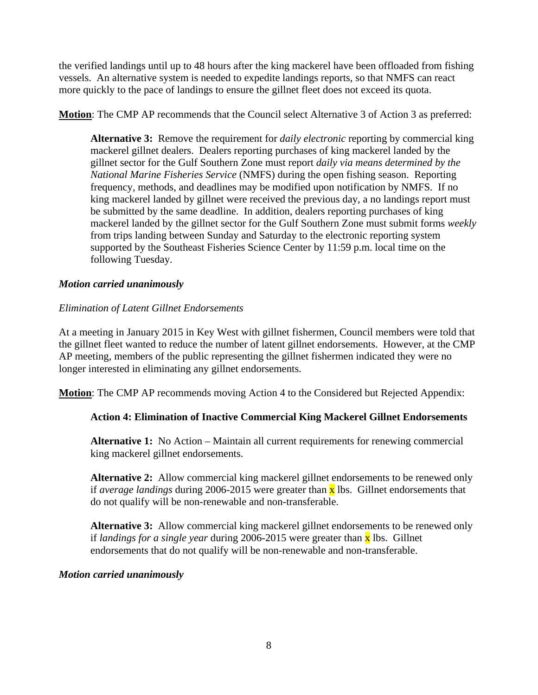the verified landings until up to 48 hours after the king mackerel have been offloaded from fishing vessels. An alternative system is needed to expedite landings reports, so that NMFS can react more quickly to the pace of landings to ensure the gillnet fleet does not exceed its quota.

**Motion**: The CMP AP recommends that the Council select Alternative 3 of Action 3 as preferred:

**Alternative 3:** Remove the requirement for *daily electronic* reporting by commercial king mackerel gillnet dealers. Dealers reporting purchases of king mackerel landed by the gillnet sector for the Gulf Southern Zone must report *daily via means determined by the National Marine Fisheries Service* (NMFS) during the open fishing season. Reporting frequency, methods, and deadlines may be modified upon notification by NMFS. If no king mackerel landed by gillnet were received the previous day, a no landings report must be submitted by the same deadline. In addition, dealers reporting purchases of king mackerel landed by the gillnet sector for the Gulf Southern Zone must submit forms *weekly* from trips landing between Sunday and Saturday to the electronic reporting system supported by the Southeast Fisheries Science Center by 11:59 p.m. local time on the following Tuesday.

## *Motion carried unanimously*

## *Elimination of Latent Gillnet Endorsements*

At a meeting in January 2015 in Key West with gillnet fishermen, Council members were told that the gillnet fleet wanted to reduce the number of latent gillnet endorsements. However, at the CMP AP meeting, members of the public representing the gillnet fishermen indicated they were no longer interested in eliminating any gillnet endorsements.

**Motion**: The CMP AP recommends moving Action 4 to the Considered but Rejected Appendix:

## **Action 4: Elimination of Inactive Commercial King Mackerel Gillnet Endorsements**

**Alternative 1:** No Action – Maintain all current requirements for renewing commercial king mackerel gillnet endorsements.

**Alternative 2:** Allow commercial king mackerel gillnet endorsements to be renewed only if *average landings* during 2006-2015 were greater than **x** lbs. Gillnet endorsements that do not qualify will be non-renewable and non-transferable.

**Alternative 3:** Allow commercial king mackerel gillnet endorsements to be renewed only if *landings for a single year* during 2006-2015 were greater than x lbs. Gillnet endorsements that do not qualify will be non-renewable and non-transferable.

### *Motion carried unanimously*